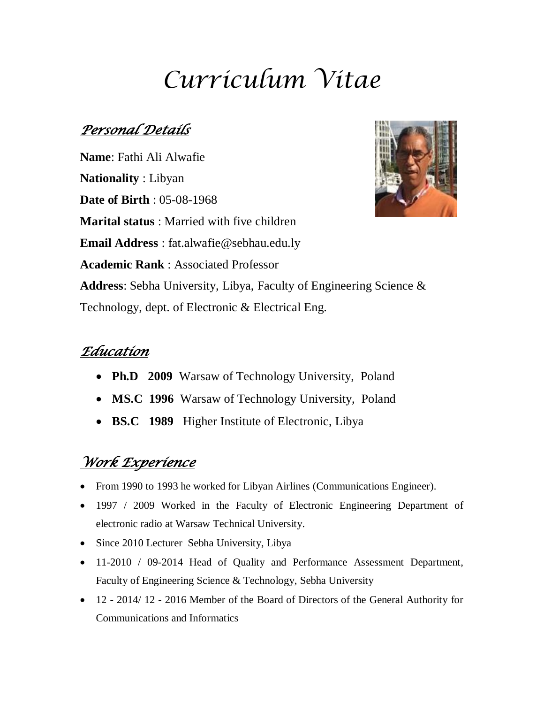# *Curriculum Vitae*

## *Personal Details*

**Name**: Fathi Ali Alwafie **Nationality** : Libyan **Date of Birth** : 05-08-1968 **Marital status** : Married with five children **Email Address** : fat.alwafie@sebhau.edu.ly **Academic Rank** : Associated Professor **Address**: Sebha University, Libya, Faculty of Engineering Science & Technology, dept. of Electronic & Electrical Eng.

## *Education*

- **Ph.D 2009** Warsaw of Technology University, Poland
- **MS.C 1996** Warsaw of Technology University, Poland
- **BS.C 1989** Higher Institute of Electronic, Libya

## *Work Experience*

- From 1990 to 1993 he worked for Libyan Airlines (Communications Engineer).
- 1997 / 2009 Worked in the Faculty of Electronic Engineering Department of electronic radio at Warsaw Technical University.
- Since 2010 Lecturer Sebha University, Libya
- 11-2010 / 09-2014 Head of Quality and Performance Assessment Department, Faculty of Engineering Science & Technology, Sebha University
- 12 2014/ 12 2016 Member of the Board of Directors of the General Authority for Communications and Informatics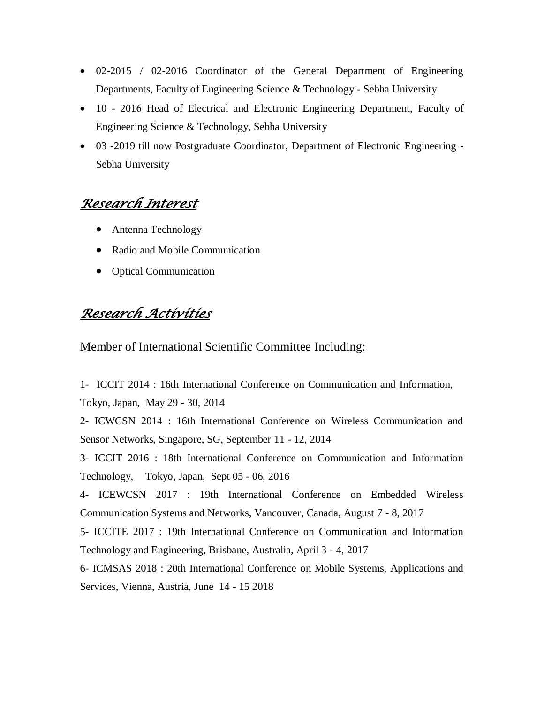- 02-2015 / 02-2016 Coordinator of the General Department of Engineering Departments, Faculty of Engineering Science & Technology - Sebha University
- 10 2016 Head of Electrical and Electronic Engineering Department, Faculty of Engineering Science & Technology, Sebha University
- 03 -2019 till now Postgraduate Coordinator, Department of Electronic Engineering Sebha University

## *Research Interest*

- Antenna Technology
- Radio and Mobile Communication
- Optical Communication

### *Research Activities*

Member of International Scientific Committee Including:

1- ICCIT 2014 : 16th International Conference on Communication and Information,

Tokyo, Japan, May 29 - 30, 2014

2- ICWCSN 2014 : 16th International Conference on Wireless Communication and Sensor Networks, Singapore, SG, September 11 - 12, 2014

3- ICCIT 2016 : 18th International Conference on Communication and Information Technology, Tokyo, Japan, Sept  $05 - 06$ , 2016

4- ICEWCSN 2017 : 19th International Conference on Embedded Wireless Communication Systems and Networks, Vancouver, Canada, August 7 - 8, 2017

5- ICCITE 2017 : 19th International Conference on Communication and Information Technology and Engineering, Brisbane, Australia, April 3 - 4, 2017

6- ICMSAS 2018 : 20th International Conference on Mobile Systems, Applications and Services, Vienna, Austria, June 14 - 15 2018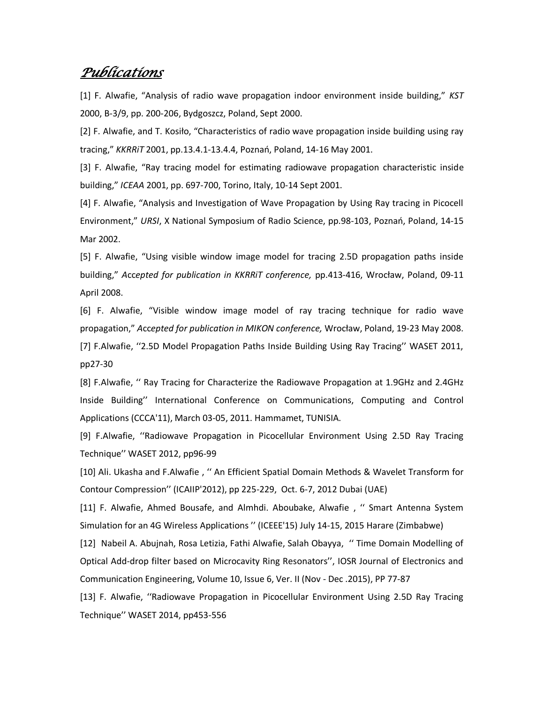#### *Publications*

[1] F. Alwafie, "Analysis of radio wave propagation indoor environment inside building," *KST*  2000, B-3/9, pp. 200-206, Bydgoszcz, Poland, Sept 2000.

[2] F. Alwafie, and T. Kosiło, "Characteristics of radio wave propagation inside building using ray tracing," *KKRRiT* 2001, pp.13.4.1-13.4.4, Poznań, Poland, 14-16 May 2001.

[3] F. Alwafie, "Ray tracing model for estimating radiowave propagation characteristic inside building," *ICEAA* 2001, pp. 697-700, Torino, Italy, 10-14 Sept 2001.

[4] F. Alwafie, "Analysis and Investigation of Wave Propagation by Using Ray tracing in Picocell Environment," *URSI*, X National Symposium of Radio Science, pp.98-103, Poznań, Poland, 14-15 Mar 2002.

[5] F. Alwafie, "Using visible window image model for tracing 2.5D propagation paths inside building," *A*cc*epted for publication in KKRRiT conference,* pp.413-416, Wrocław, Poland, 09-11 April 2008.

[6] F. Alwafie, "Visible window image model of ray tracing technique for radio wave propagation," *A*cc*epted for publication in MIKON conference,* Wrocław, Poland, 19-23 May 2008. [7] F.Alwafie, ʻʻ2.5D Model Propagation Paths Inside Building Using Ray Tracing'' WASET 2011, pp27-30

[8] F.Alwafie, ʻʻ Ray Tracing for Characterize the Radiowave Propagation at 1.9GHz and 2.4GHz Inside Building'' International Conference on Communications, Computing and Control Applications (CCCA'11), March 03-05, 2011. Hammamet, TUNISIA.

[9] F.Alwafie, ʻʻRadiowave Propagation in Picocellular Environment Using 2.5D Ray Tracing Technique'' WASET 2012, pp96-99

[10] Ali. Ukasha and F.Alwafie , ʻʻ An Efficient Spatial Domain Methods & Wavelet Transform for Contour Compression'' (ICAIIP'2012), pp 225-229, Oct. 6-7, 2012 Dubai (UAE)

[11] F. Alwafie, Ahmed Bousafe, and Almhdi. Aboubake, Alwafie , ʻʻ Smart Antenna System Simulation for an 4G Wireless Applications '' (ICEEE'15) July 14-15, 2015 Harare (Zimbabwe)

[12] Nabeil A. Abujnah, Rosa Letizia, Fathi Alwafie, Salah Obayya, ʻʻ Time Domain Modelling of Optical Add-drop filter based on Microcavity Ring Resonators'', IOSR Journal of Electronics and Communication Engineering, Volume 10, Issue 6, Ver. II (Nov - Dec .2015), PP 77-87

[13] F. Alwafie, ʻʻRadiowave Propagation in Picocellular Environment Using 2.5D Ray Tracing Technique'' WASET 2014, pp453-556